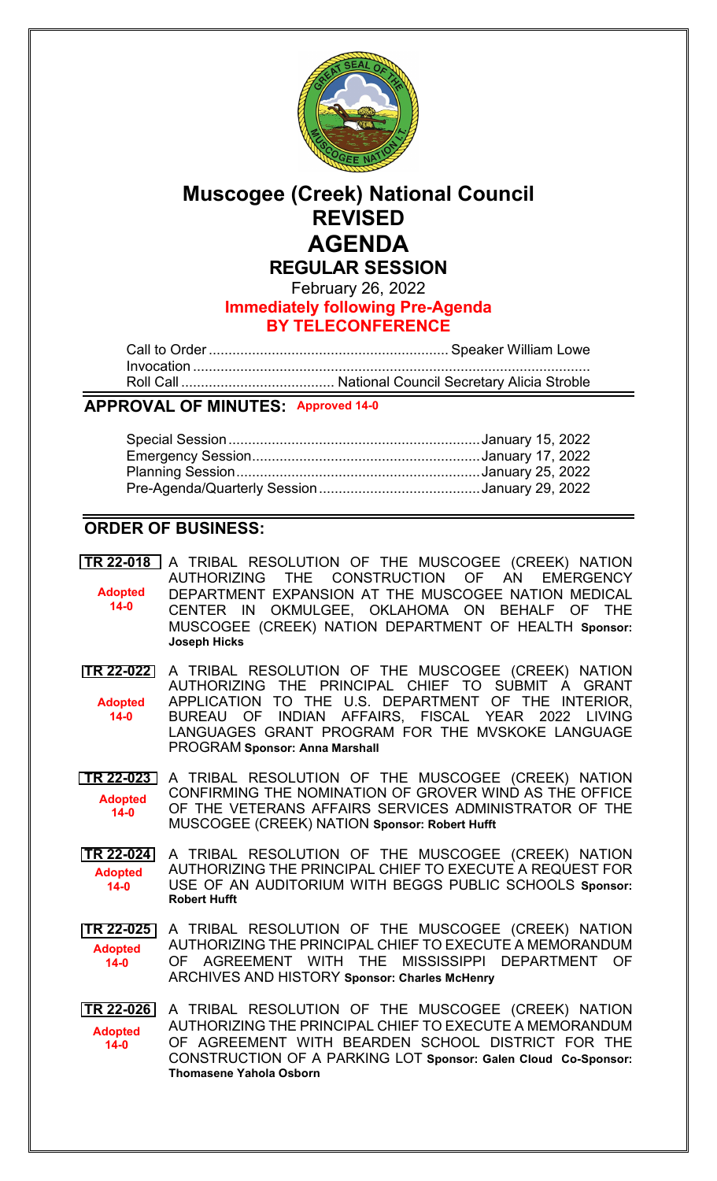

# **Muscogee (Creek) National Council REVISED AGENDA**

**REGULAR SESSION**

February 26, 2022 **Immediately following Pre-Agenda BY TELECONFERENCE**

Call to Order............................................................. Speaker William Lowe Invocation ..................................................................................................... Roll Call ....................................... National Council Secretary Alicia Stroble

## **APPROVAL OF MINUTES: Approved 14-0**

## **ORDER OF BUSINESS:**

**[TR 22-018](bills/22-018.pdf)** A TRIBAL RESOLUTION OF THE MUSCOGEE (CREEK) NATION AUTHORIZING THE CONSTRUCTION OF AN EMERGENCY DEPARTMENT EXPANSION AT THE MUSCOGEE NATION MEDICAL CENTER IN OKMULGEE, OKLAHOMA ON BEHALF OF THE MUSCOGEE (CREEK) NATION DEPARTMENT OF HEALTH **Sponsor: Joseph Hicks Adopted 14-0**

**[TR 22-022](bills/22-022.pdf)** A TRIBAL RESOLUTION OF THE MUSCOGEE (CREEK) NATION AUTHORIZING THE PRINCIPAL CHIEF TO SUBMIT A GRANT APPLICATION TO THE U.S. DEPARTMENT OF THE INTERIOR, BUREAU OF INDIAN AFFAIRS, FISCAL YEAR 2022 LIVING LANGUAGES GRANT PROGRAM FOR THE MVSKOKE LANGUAGE PROGRAM **Sponsor: [Anna Marshall](mailto:amarshall@mcn-nsn.gov) Adopted 14-0**

**[TR 22-023](bills/22-023.pdf)** A TRIBAL RESOLUTION OF THE MUSCOGEE (CREEK) NATION CONFIRMING THE NOMINATION OF GROVER WIND AS THE OFFICE OF THE VETERANS AFFAIRS SERVICES ADMINISTRATOR OF THE MUSCOGEE (CREEK) NATION **Sponsor: [Robert Hufft](mailto:rhufft@mcn-nsn.gov) Adopted 14-0**

**[TR 22-024](bills/22-024.pdf)** A TRIBAL RESOLUTION OF THE MUSCOGEE (CREEK) NATION AUTHORIZING THE PRINCIPAL CHIEF TO EXECUTE A REQUEST FOR USE OF AN AUDITORIUM WITH BEGGS PUBLIC SCHOOLS **Sponsor: [Robert Hufft](mailto:rhufft@mcn-nsn.gov) Adopted 14-0**

**[TR 22-025](bills/22-025.pdf)** A TRIBAL RESOLUTION OF THE MUSCOGEE (CREEK) NATION AUTHORIZING THE PRINCIPAL CHIEF TO EXECUTE A MEMORANDUM OF AGREEMENT WITH THE MISSISSIPPI DEPARTMENT OF ARCHIVES AND HISTORY **Sponsor: [Charles McHenry](mailto:cmchenry@mcn-nsn.gov) Adopted 14-0**

**[TR 22-026](bills/22-026.pdf)** A TRIBAL RESOLUTION OF THE MUSCOGEE (CREEK) NATION AUTHORIZING THE PRINCIPAL CHIEF TO EXECUTE A MEMORANDUM OF AGREEMENT WITH BEARDEN SCHOOL DISTRICT FOR THE CONSTRUCTION OF A PARKING LOT **Sponsor: [Galen Cloud](mailto:gcloud@mcn-nsn.gov) Co-Sponsor: [Thomasene Yahola Osborn](mailto:tosborn@mcn-nsn.gov) Adopted 14-0**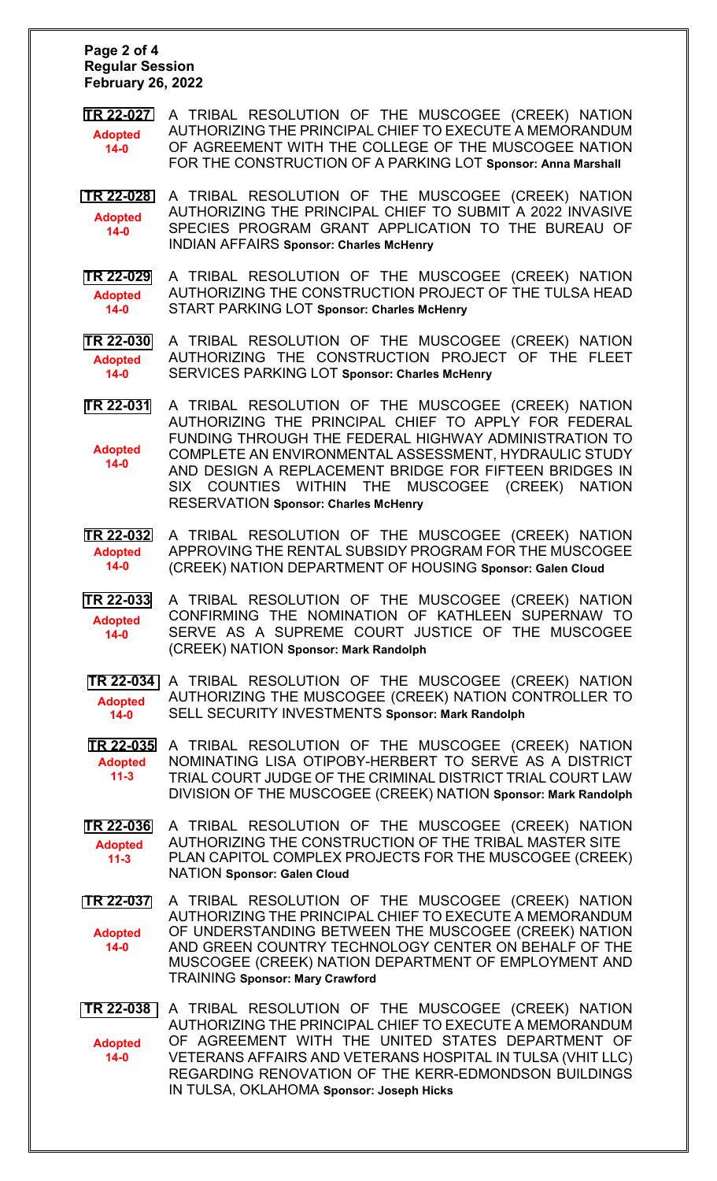#### **Page 2 of 4 Regular Session February 26, 2022**

- **[TR 22-027](bills/22-027.pdf)** A TRIBAL RESOLUTION OF THE MUSCOGEE (CREEK) NATION AUTHORIZING THE PRINCIPAL CHIEF TO EXECUTE A MEMORANDUM OF AGREEMENT WITH THE COLLEGE OF THE MUSCOGEE NATION FOR THE CONSTRUCTION OF A PARKING LOT **Sponsor: Anna [Marshall](mailto:amarshall@mcn-nsn.gov) Adopted 14-0**
- **[TR 22-028](bills/22-028.pdf)** A TRIBAL RESOLUTION OF THE MUSCOGEE (CREEK) NATION AUTHORIZING THE PRINCIPAL CHIEF TO SUBMIT A 2022 INVASIVE SPECIES PROGRAM GRANT APPLICATION TO THE BUREAU OF INDIAN AFFAIRS **Sponsor: [Charles McHenry](mailto:cmchenry@mcn-nsn.gov) Adopted 14-0**
- **[TR 22-029](bills/22-029.pdf)** A TRIBAL RESOLUTION OF THE MUSCOGEE (CREEK) NATION AUTHORIZING THE CONSTRUCTION PROJECT OF THE TULSA HEAD START PARKING LOT **Sponsor: [Charles McHenry](mailto:cmchenry@mcn-nsn.gov) Adopted 14-0**
- **[TR 22-030](bills/22-030.pdf)** A TRIBAL RESOLUTION OF THE MUSCOGEE (CREEK) NATION AUTHORIZING THE CONSTRUCTION PROJECT OF THE FLEET SERVICES PARKING LOT **Sponsor: [Charles McHenry](mailto:cmchenry@mcn-nsn.gov)  Adopted 14-0**
- **[TR 22-031](bills/22-031.pdf)** A TRIBAL RESOLUTION OF THE MUSCOGEE (CREEK) NATION AUTHORIZING THE PRINCIPAL CHIEF TO APPLY FOR FEDERAL FUNDING THROUGH THE FEDERAL HIGHWAY ADMINISTRATION TO COMPLETE AN ENVIRONMENTAL ASSESSMENT, HYDRAULIC STUDY AND DESIGN A REPLACEMENT BRIDGE FOR FIFTEEN BRIDGES IN SIX COUNTIES WITHIN THE MUSCOGEE (CREEK) NATION RESERVATION **Sponsor: [Charles McHenry](mailto:cmchenry@mcn-nsn.gov) Adopted 14-0**
- **[TR 22-032](bills/22-032.pdf)** A TRIBAL RESOLUTION OF THE MUSCOGEE (CREEK) NATION APPROVING THE RENTAL SUBSIDY PROGRAM FOR THE MUSCOGEE (CREEK) NATION DEPARTMENT OF HOUSING **Sponsor: [Galen Cloud](mailto:gcloud@mcn-nsn.gov) Adopted 14-0**
- **[TR 22-033](bills/22-033.pdf)** A TRIBAL RESOLUTION OF THE MUSCOGEE (CREEK) NATION CONFIRMING THE NOMINATION OF KATHLEEN SUPERNAW TO SERVE AS A SUPREME COURT JUSTICE OF THE MUSCOGEE (CREEK) NATION **Sponsor: [Mark Randolph](mailto:mrandolph@mcn-nsn.gov) Adopted 14-0**

**[TR 22-034](bills/22-034.pdf)** A TRIBAL RESOLUTION OF THE MUSCOGEE (CREEK) NATION AUTHORIZING THE MUSCOGEE (CREEK) NATION CONTROLLER TO SELL SECURITY INVESTMENTS **Sponsor: [Mark Randolph](mailto:mrandolph@mcn-nsn.gov) Adopted 14-0**

**[TR 22-035](bills/22-035.pdf)** A TRIBAL RESOLUTION OF THE MUSCOGEE (CREEK) NATION NOMINATING LISA OTIPOBY-HERBERT TO SERVE AS A DISTRICT TRIAL COURT JUDGE OF THE CRIMINAL DISTRICT TRIAL COURT LAW DIVISION OF THE MUSCOGEE (CREEK) NATION **Sponsor: [Mark Randolph](mailto:mrandolph@mcn-nsn.gov) Adopted 11-3**

- **[TR 22-036](bills/22-036.pdf)** A TRIBAL RESOLUTION OF THE MUSCOGEE (CREEK) NATION AUTHORIZING THE CONSTRUCTION OF THE TRIBAL MASTER SITE PLAN CAPITOL COMPLEX PROJECTS FOR THE MUSCOGEE (CREEK) NATION **Sponsor: [Galen Cloud](mailto:gcloud@mcn-nsn.gov) Adopted 11-3**
- **[TR 22-037](bills/22-037.pdf)** A TRIBAL RESOLUTION OF THE MUSCOGEE (CREEK) NATION AUTHORIZING THE PRINCIPAL CHIEF TO EXECUTE A MEMORANDUM OF UNDERSTANDING BETWEEN THE MUSCOGEE (CREEK) NATION AND GREEN COUNTRY TECHNOLOGY CENTER ON BEHALF OF THE MUSCOGEE (CREEK) NATION DEPARTMENT OF EMPLOYMENT AND TRAINING **Sponsor: [Mary Crawford](mailto:mcrawford@mcn-nsn.gov) Adopted 14-0**
- **[TR 22-038](bills/22-038.pdf)** A TRIBAL RESOLUTION OF THE MUSCOGEE (CREEK) NATION AUTHORIZING THE PRINCIPAL CHIEF TO EXECUTE A MEMORANDUM OF AGREEMENT WITH THE UNITED STATES DEPARTMENT OF VETERANS AFFAIRS AND VETERANS HOSPITAL IN TULSA (VHIT LLC) REGARDING RENOVATION OF THE KERR-EDMONDSON BUILDINGS IN TULSA, OKLAHOMA **Sponsor: Joseph Hicks Adopted 14-0**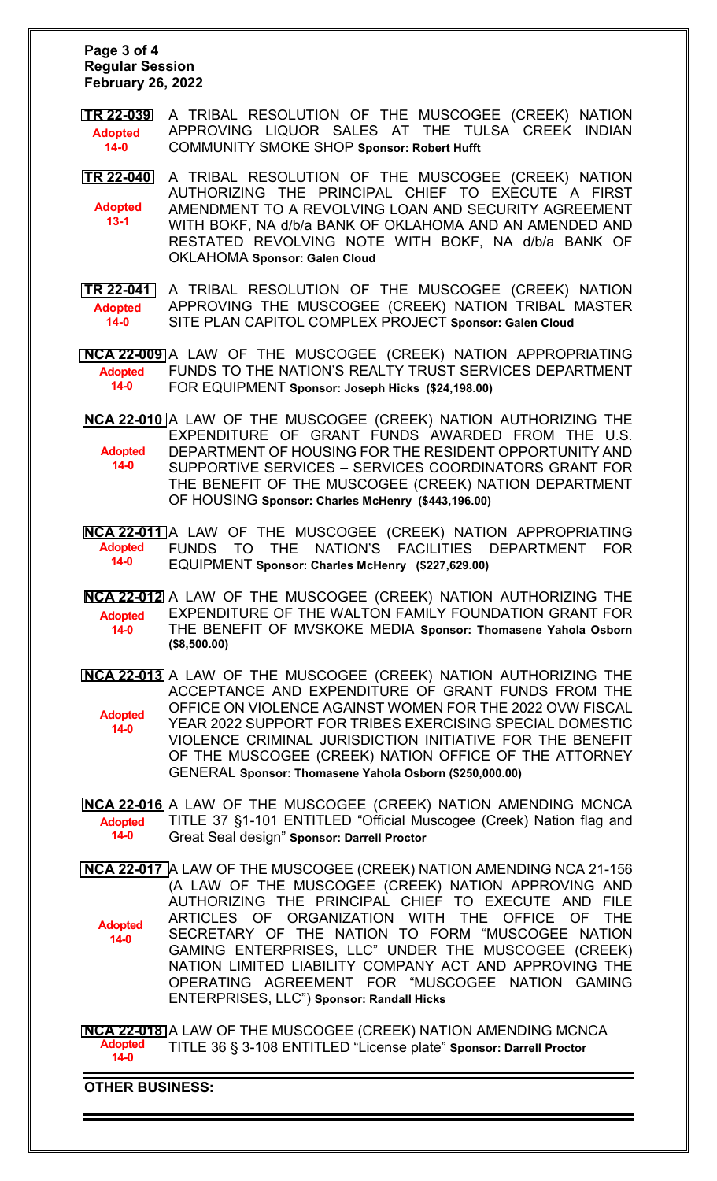#### **Page 3 of 4 Regular Session February 26, 2022**

- **[TR 22-039](bills/22-039.pdf)** A TRIBAL RESOLUTION OF THE MUSCOGEE (CREEK) NATION APPROVING LIQUOR SALES AT THE TULSA CREEK INDIAN COMMUNITY SMOKE SHOP **Sponsor: Robert Hufft Adopted 14-0**
- **[TR 22-040](bills/22-040.pdf)** A TRIBAL RESOLUTION OF THE MUSCOGEE (CREEK) NATION AUTHORIZING THE PRINCIPAL CHIEF TO EXECUTE A FIRST AMENDMENT TO A REVOLVING LOAN AND SECURITY AGREEMENT WITH BOKF, NA d/b/a BANK OF OKLAHOMA AND AN AMENDED AND RESTATED REVOLVING NOTE WITH BOKF, NA d/b/a BANK OF OKLAHOMA **Sponsor: Galen Cloud Adopted 13-1**
- **[TR 22-041](bills/22-041.pdf)** A TRIBAL RESOLUTION OF THE MUSCOGEE (CREEK) NATION APPROVING THE MUSCOGEE (CREEK) NATION TRIBAL MASTER SITE PLAN CAPITOL COMPLEX PROJECT **Sponsor: Galen Cloud Adopted 14-0**

**[NCA 22-009](bills/NCA22-009.pdf)** A LAW OF THE MUSCOGEE (CREEK) NATION APPROPRIATING FUNDS TO THE NATION'S REALTY TRUST SERVICES DEPARTMENT FOR EQUIPMENT **Sponsor: [Joseph Hicks](mailto:joshicks@mcn-nsn.gov) (\$24,198.00) Adopted 14-0**

- **[NCA 22-010](bills/NCA22-010.pdf)** A LAW OF THE MUSCOGEE (CREEK) NATION AUTHORIZING THE EXPENDITURE OF GRANT FUNDS AWARDED FROM THE U.S. DEPARTMENT OF HOUSING FOR THE RESIDENT OPPORTUNITY AND SUPPORTIVE SERVICES – SERVICES COORDINATORS GRANT FOR THE BENEFIT OF THE MUSCOGEE (CREEK) NATION DEPARTMENT OF HOUSING **Sponsor: [Charles McHenry](mailto:cmchenry@mcn-nsn.gov) (\$443,196.00) Adopted 14-0**
- **[NCA 22-011](bills/NCA22-011.pdf)** A LAW OF THE MUSCOGEE (CREEK) NATION APPROPRIATING FUNDS TO THE NATION'S FACILITIES DEPARTMENT FOR EQUIPMENT **Sponsor: [Charles McHenry](mailto:cmchenry@mcn-nsn.gov) (\$227,629.00) Adopted 14-0**
- **[NCA 22-012](bills/NCA22-012.pdf)** A LAW OF THE MUSCOGEE (CREEK) NATION AUTHORIZING THE EXPENDITURE OF THE WALTON FAMILY FOUNDATION GRANT FOR THE BENEFIT OF MVSKOKE MEDIA **Sponsor: [Thomasene Yahola Osborn](mailto:tosborn@mcn-nsn.gov) (\$8,500.00) Adopted 14-0**
- **[NCA 22-013](bills/NCA22-013.pdf)** A LAW OF THE MUSCOGEE (CREEK) NATION AUTHORIZING THE ACCEPTANCE AND EXPENDITURE OF GRANT FUNDS FROM THE OFFICE ON VIOLENCE AGAINST WOMEN FOR THE 2022 OVW FISCAL YEAR 2022 SUPPORT FOR TRIBES EXERCISING SPECIAL DOMESTIC VIOLENCE CRIMINAL JURISDICTION INITIATIVE FOR THE BENEFIT OF THE MUSCOGEE (CREEK) NATION OFFICE OF THE ATTORNEY GENERAL **Sponsor: [Thomasene Yahola Osborn](mailto:tosborn@mcn-nsn.gov) (\$250,000.00) Adopted 14-0**
- **[NCA 22-016](bills/NCA22-016.pdf)** A LAW OF THE MUSCOGEE (CREEK) NATION AMENDING MCNCA TITLE 37 §1-101 ENTITLED "Official Muscogee (Creek) Nation flag and Great Seal design" **Sponsor: [Darrell Proctor](mailto:dproctor@mcn-nsn.gov) Adopted 14-0**
- **[NCA 22-017](bills/NCA22-017.pdf)** A LAW OF THE MUSCOGEE (CREEK) NATION AMENDING NCA 21-156 (A LAW OF THE MUSCOGEE (CREEK) NATION APPROVING AND AUTHORIZING THE PRINCIPAL CHIEF TO EXECUTE AND FILE ARTICLES OF ORGANIZATION WITH THE OFFICE OF THE SECRETARY OF THE NATION TO FORM "MUSCOGEE NATION GAMING ENTERPRISES, LLC" UNDER THE MUSCOGEE (CREEK) NATION LIMITED LIABILITY COMPANY ACT AND APPROVING THE OPERATING AGREEMENT FOR "MUSCOGEE NATION GAMING ENTERPRISES, LLC") **Sponsor: [Randall Hicks](mailto:rhicks@mcn-nsn.gov) Adopted 14-0**

**[NCA 22-018](bills/NCA22-018.pdf)** A LAW OF THE MUSCOGEE (CREEK) NATION AMENDING MCNCA TITLE 36 § 3-108 ENTITLED "License plate" **Sponsor: Darrell Proctor Adopted 14-0**

**OTHER BUSINESS:**